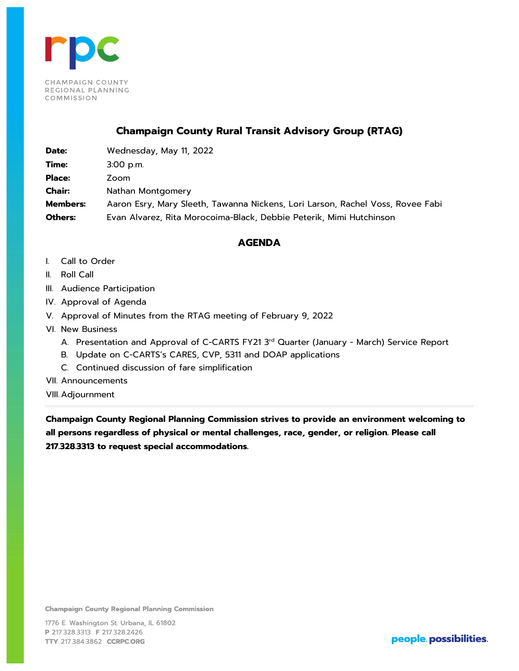

## **Champaign County Rural Transit Advisory Group (RTAG)**

**Date:** Wednesday, May 11, 2022 **Time:** 3:00 p.m. **Place:** Zoom **Chair:** Nathan Montgomery **Members:** Aaron Esry, Mary Sleeth, Tawanna Nickens, Lori Larson, Rachel Voss, Rovee Fabi **Others:** Evan Alvarez, Rita Morocoima-Black, Debbie Peterik, Mimi Hutchinson

#### **AGENDA**

- I. Call to Order
- II. Roll Call
- III. Audience Participation
- IV. Approval of Agenda
- V. Approval of Minutes from the RTAG meeting of February 9, 2022
- VI. New Business
	- A. Presentation and Approval of C-CARTS FY21 3<sup>rd</sup> Quarter (January March) Service Report
	- B. Update on C-CARTS's CARES, CVP, 5311 and DOAP applications
	- C. Continued discussion of fare simplification
- VII. Announcements
- VIII. Adjournment

**Champaign County Regional Planning Commission strives to provide an environment welcoming to all persons regardless of physical or mental challenges, race, gender, or religion. Please call 217.328.3313 to request special accommodations.**

**Champaign County Regional Planning Commission**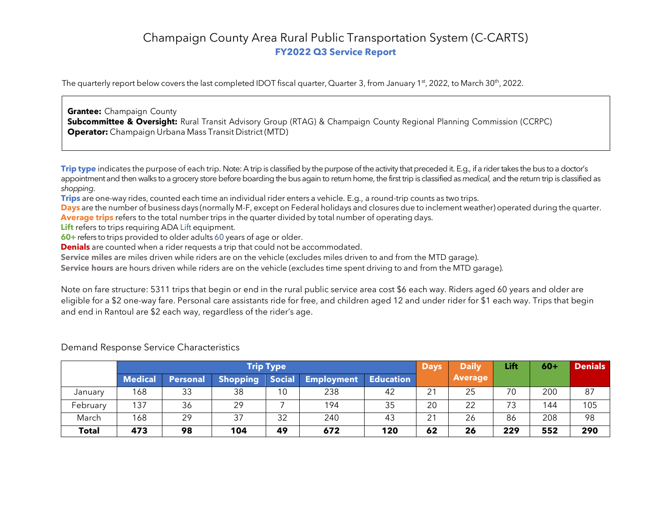# Champaign County Area Rural Public Transportation System (C-CARTS) **FY2022 Q3 Service Report**

The quarterly report below covers the last completed IDOT fiscal quarter, Quarter 3, from January 1st, 2022, to March 30<sup>th</sup>, 2022.

**Grantee:** Champaign County **Subcommittee & Oversight:** Rural Transit Advisory Group (RTAG) & Champaign County Regional Planning Commission (CCRPC) **Operator:** Champaign Urbana Mass Transit District (MTD)

**Trip type** indicates the purpose of each trip. Note: A trip is classified by the purpose of the activity that preceded it. E.g., if a rider takes the bus to a doctor's appointment and then walks to a grocery store before boarding the bus again to return home, the first trip is classified as *medical,* and the return trip is classified as *shopping*.

**Trips** are one-way rides, counted each time an individual rider enters a vehicle. E.g., a round-trip counts as two trips.

**Days** are the number of business days (normally M-F, except on Federal holidays and closures due to inclement weather) operated during the quarter. **Average trips** refers to the total number trips in the quarter divided by total number of operating days.

**Lift** refers to trips requiring ADA Lift equipment.

**60+** refers to trips provided to older adults 60 years of age or older.

**Denials** are counted when a rider requests a trip that could not be accommodated.

**Service miles** are miles driven while riders are on the vehicle (excludes miles driven to and from the MTD garage).

**Service hours** are hours driven while riders are on the vehicle (excludes time spent driving to and from the MTD garage).

Note on fare structure: 5311 trips that begin or end in the rural public service area cost \$6 each way. Riders aged 60 years and older are eligible for a \$2 one-way fare. Personal care assistants ride for free, and children aged 12 and under rider for \$1 each way. Trips that begin and end in Rantoul are \$2 each way, regardless of the rider's age.

|              | <b>Trip Type</b> |                 |                 |        |                   |                  | <b>Days</b> | <b>Daily</b>   | Lift | $60+$ | <b>Denials</b> |
|--------------|------------------|-----------------|-----------------|--------|-------------------|------------------|-------------|----------------|------|-------|----------------|
|              | <b>Medical</b>   | <b>Personal</b> | <b>Shopping</b> | Social | <b>Employment</b> | <b>Education</b> |             | <b>Average</b> |      |       |                |
| January      | 168              | 33              | 38              | 10     | 238               | 42               | 21          | 25             | 70   | 200   | 87             |
| February     | 137              | 36              | 29              |        | 194               | 35               | 20          | 22             | 73   | 144   | 105            |
| March        | 168              | 29              | 37              | 32     | 240               | 43               | 21          | 26             | 86   | 208   | 98             |
| <b>Total</b> | 473              | 98              | 104             | 49     | 672               | 120              | 62          | 26             | 229  | 552   | 290            |

Demand Response Service Characteristics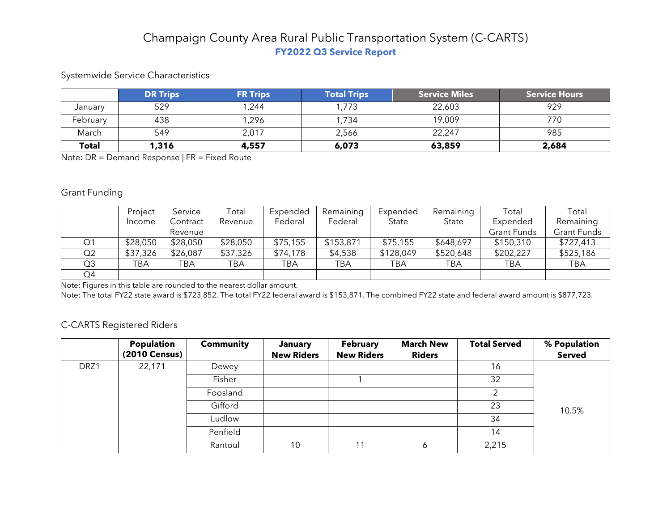# Champaign County Area Rural Public Transportation System (C-CARTS) **FY2022 Q3 Service Report**

### Systemwide Service Characteristics

|              | <b>DR Trips</b> | <b>FR Trips</b> | <b>Total Trips</b> | <b>Service Miles</b> | <b>Service Hours</b> |
|--------------|-----------------|-----------------|--------------------|----------------------|----------------------|
| January      | 529             | ,244            | 1,773              | 22,603               | 929                  |
| February     | 438             | ,296            | 1,734              | 19,009               | 770                  |
| March        | 549             | 2,017           | 2,566              | 22,247               | 985                  |
| <b>Total</b> | 1,316           | 4,557           | 6,073              | 63,859               | 2,684                |

Note: DR = Demand Response | FR = Fixed Route

#### Grant Funding

|    | Project  | Service  | Total    | Expended | Remaining | Expended  | Remaining | Total              | Total       |
|----|----------|----------|----------|----------|-----------|-----------|-----------|--------------------|-------------|
|    | Income   | Contract | Revenue  | Federal  | Federal   | State     | State     | Expended           | Remaining   |
|    |          | Revenue  |          |          |           |           |           | <b>Grant Funds</b> | Grant Funds |
| Q1 | \$28,050 | \$28,050 | \$28,050 | \$75,155 | \$153,871 | \$75,155  | \$648,697 | \$150,310          | \$727,413   |
| Q2 | \$37,326 | \$26,087 | \$37,326 | \$74,178 | \$4,538   | \$128,049 | \$520,648 | \$202,227          | \$525,186   |
| Q3 | TBA      | TBA      | TBA      | TBA      | TBA       | TBA       | TBA       | TBA                | <b>TBA</b>  |
| Q4 |          |          |          |          |           |           |           |                    |             |

Note: Figures in this table are rounded to the nearest dollar amount.

Note: The total FY22 state award is \$723,852. The total FY22 federal award is \$153,871. The combined FY22 state and federal award amount is \$877,723.

#### C-CARTS Registered Riders

|      | Population<br>(2010 Census) | <b>Community</b> | January<br><b>New Riders</b> | <b>February</b><br><b>New Riders</b> | <b>March New</b><br><b>Riders</b> | <b>Total Served</b> | % Population<br><b>Served</b> |
|------|-----------------------------|------------------|------------------------------|--------------------------------------|-----------------------------------|---------------------|-------------------------------|
| DRZ1 | 22,171                      | Dewey            |                              |                                      |                                   | 16                  |                               |
|      |                             | Fisher           |                              |                                      |                                   | 32                  |                               |
|      |                             | Foosland         |                              |                                      |                                   |                     |                               |
|      |                             | Gifford          |                              |                                      |                                   | 23                  | 10.5%                         |
|      |                             | Ludlow           |                              |                                      |                                   | 34                  |                               |
|      |                             | Penfield         |                              |                                      |                                   | 14                  |                               |
|      |                             | Rantoul          | 10                           | 11                                   | Ô                                 | 2,215               |                               |